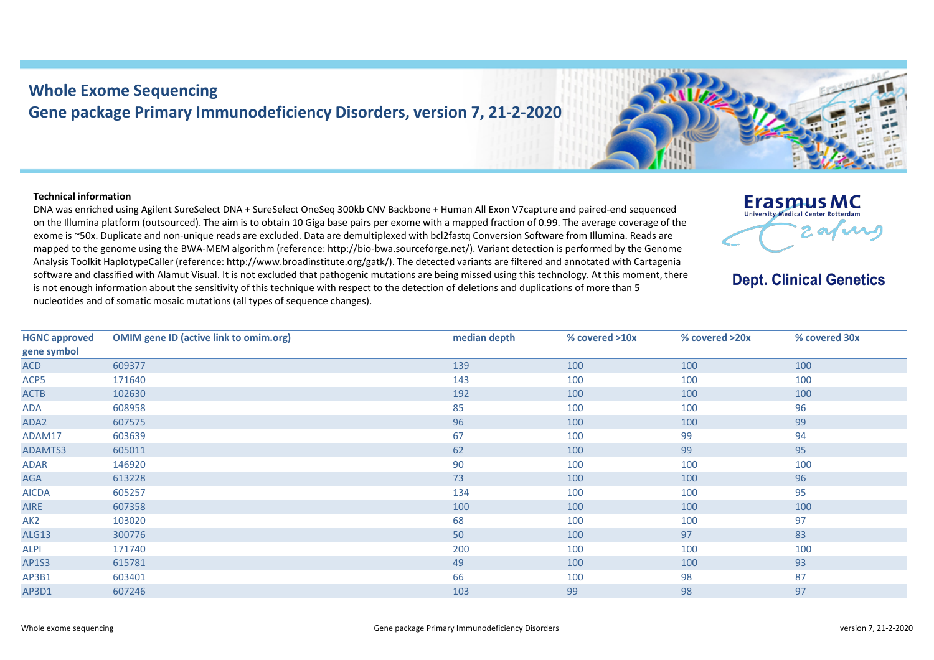## **Whole Exome Sequencing Gene package Primary Immunodeficiency Disorders, version 7, 21-2-2020**

## **Technical information**

DNA was enriched using Agilent SureSelect DNA + SureSelect OneSeq 300kb CNV Backbone + Human All Exon V7capture and paired-end sequenced on the Illumina platform (outsourced). The aim is to obtain 10 Giga base pairs per exome with a mapped fraction of 0.99. The average coverage of the exome is ~50x. Duplicate and non-unique reads are excluded. Data are demultiplexed with bcl2fastq Conversion Software from Illumina. Reads are mapped to the genome using the BWA-MEM algorithm (reference: http://bio-bwa.sourceforge.net/). Variant detection is performed by the Genome Analysis Toolkit HaplotypeCaller (reference: http://www.broadinstitute.org/gatk/). The detected variants are filtered and annotated with Cartagenia software and classified with Alamut Visual. It is not excluded that pathogenic mutations are being missed using this technology. At this moment, there is not enough information about the sensitivity of this technique with respect to the detection of deletions and duplications of more than 5 nucleotides and of somatic mosaic mutations (all types of sequence changes).

| Erasmus MC<br><b>University Medical Center Rotterdam</b> |  |
|----------------------------------------------------------|--|
|                                                          |  |

**Dept. Clinical Genetics** 

| <b>HGNC approved</b> | <b>OMIM gene ID (active link to omim.org)</b> | median depth | % covered >10x | % covered >20x | % covered 30x |
|----------------------|-----------------------------------------------|--------------|----------------|----------------|---------------|
| gene symbol          |                                               |              |                |                |               |
| <b>ACD</b>           | 609377                                        | 139          | 100            | 100            | 100           |
| ACP5                 | 171640                                        | 143          | 100            | 100            | 100           |
| <b>ACTB</b>          | 102630                                        | 192          | 100            | 100            | 100           |
| ADA                  | 608958                                        | 85           | 100            | 100            | 96            |
| ADA2                 | 607575                                        | 96           | 100            | 100            | 99            |
| ADAM17               | 603639                                        | 67           | 100            | 99             | 94            |
| ADAMTS3              | 605011                                        | 62           | 100            | 99             | 95            |
| ADAR                 | 146920                                        | 90           | 100            | 100            | 100           |
| AGA                  | 613228                                        | 73           | 100            | 100            | 96            |
| <b>AICDA</b>         | 605257                                        | 134          | 100            | 100            | 95            |
| AIRE                 | 607358                                        | 100          | 100            | 100            | 100           |
| AK <sub>2</sub>      | 103020                                        | 68           | 100            | 100            | 97            |
| <b>ALG13</b>         | 300776                                        | 50           | 100            | 97             | 83            |
| ALPI                 | 171740                                        | 200          | 100            | 100            | 100           |
| AP1S3                | 615781                                        | 49           | 100            | 100            | 93            |
| AP3B1                | 603401                                        | 66           | 100            | 98             | 87            |
| AP3D1                | 607246                                        | 103          | 99             | 98             | 97            |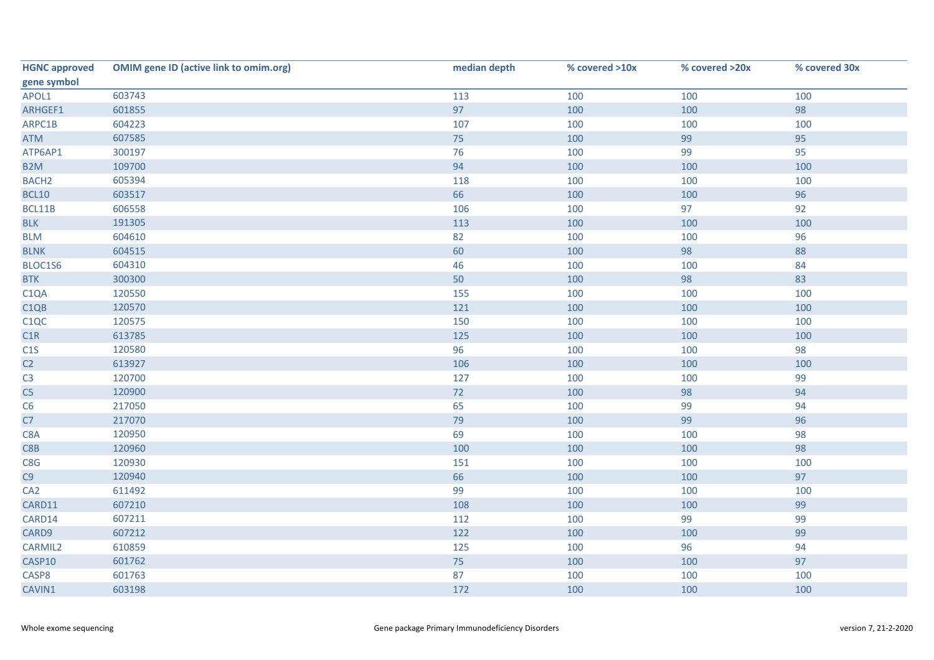| <b>HGNC approved</b> | <b>OMIM gene ID (active link to omim.org)</b> | median depth | % covered >10x | % covered >20x | % covered 30x |
|----------------------|-----------------------------------------------|--------------|----------------|----------------|---------------|
| gene symbol          |                                               |              |                |                |               |
| APOL1                | 603743                                        | 113          | 100            | 100            | 100           |
| ARHGEF1              | 601855                                        | 97           | 100            | 100            | 98            |
| ARPC1B               | 604223                                        | 107          | 100            | 100            | 100           |
| <b>ATM</b>           | 607585                                        | 75           | 100            | 99             | 95            |
| ATP6AP1              | 300197                                        | 76           | 100            | 99             | 95            |
| B <sub>2</sub> M     | 109700                                        | 94           | 100            | 100            | 100           |
| <b>BACH2</b>         | 605394                                        | 118          | 100            | 100            | 100           |
| <b>BCL10</b>         | 603517                                        | 66           | 100            | 100            | 96            |
| BCL11B               | 606558                                        | 106          | 100            | 97             | 92            |
| <b>BLK</b>           | 191305                                        | 113          | 100            | 100            | 100           |
| <b>BLM</b>           | 604610                                        | 82           | 100            | 100            | 96            |
| <b>BLNK</b>          | 604515                                        | 60           | 100            | 98             | 88            |
| BLOC1S6              | 604310                                        | 46           | 100            | 100            | 84            |
| <b>BTK</b>           | 300300                                        | 50           | 100            | 98             | 83            |
| C <sub>1</sub> QA    | 120550                                        | 155          | 100            | 100            | 100           |
| C <sub>1QB</sub>     | 120570                                        | 121          | 100            | 100            | 100           |
| C <sub>1</sub> QC    | 120575                                        | 150          | 100            | 100            | 100           |
| C1R                  | 613785                                        | 125          | 100            | 100            | 100           |
| C1S                  | 120580                                        | 96           | 100            | 100            | 98            |
| C2                   | 613927                                        | 106          | 100            | 100            | 100           |
| C <sub>3</sub>       | 120700                                        | 127          | 100            | 100            | 99            |
| C <sub>5</sub>       | 120900                                        | 72           | 100            | 98             | 94            |
| C6                   | 217050                                        | 65           | 100            | 99             | 94            |
| C7                   | 217070                                        | 79           | 100            | 99             | 96            |
| C8A                  | 120950                                        | 69           | 100            | 100            | 98            |
| C8B                  | 120960                                        | 100          | 100            | 100            | 98            |
| C8G                  | 120930                                        | 151          | 100            | 100            | 100           |
| C9                   | 120940                                        | 66           | 100            | 100            | 97            |
| CA <sub>2</sub>      | 611492                                        | 99           | 100            | 100            | 100           |
| CARD11               | 607210                                        | 108          | 100            | 100            | 99            |
| CARD14               | 607211                                        | 112          | 100            | 99             | 99            |
| CARD9                | 607212                                        | 122          | 100            | 100            | 99            |
| CARMIL2              | 610859                                        | 125          | 100            | 96             | 94            |
| CASP10               | 601762                                        | 75           | 100            | 100            | 97            |
| CASP8                | 601763                                        | 87           | 100            | 100            | 100           |
| CAVIN1               | 603198                                        | 172          | 100            | 100            | 100           |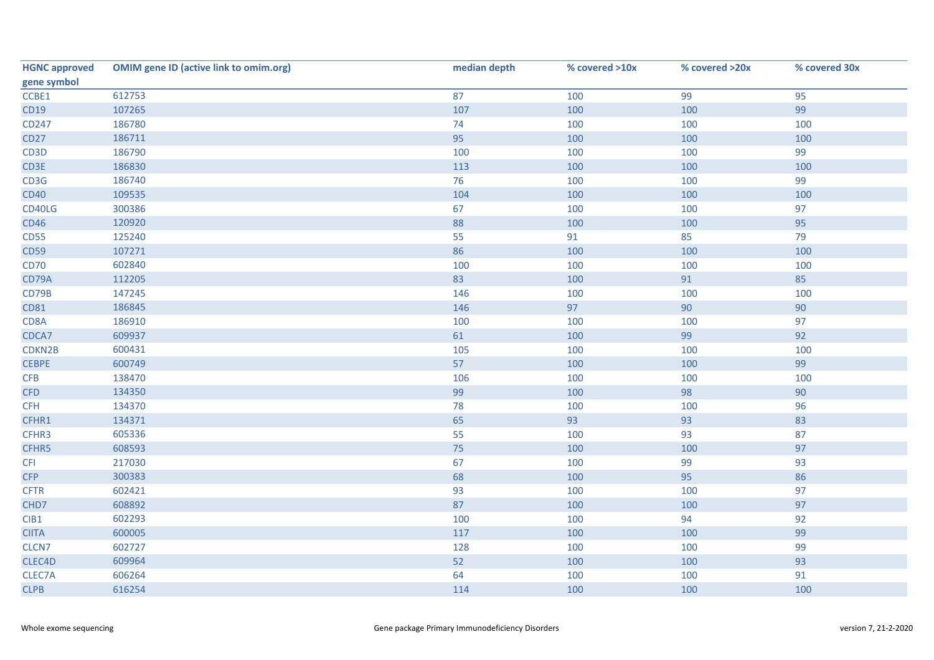| <b>HGNC approved</b> | <b>OMIM gene ID (active link to omim.org)</b> | median depth | % covered >10x | % covered >20x | % covered 30x |
|----------------------|-----------------------------------------------|--------------|----------------|----------------|---------------|
| gene symbol          |                                               |              |                |                |               |
| CCBE1                | 612753                                        | 87           | 100            | 99             | 95            |
| CD19                 | 107265                                        | 107          | 100            | 100            | 99            |
| CD247                | 186780                                        | 74           | 100            | 100            | 100           |
| <b>CD27</b>          | 186711                                        | 95           | 100            | 100            | 100           |
| CD <sub>3</sub> D    | 186790                                        | 100          | 100            | 100            | 99            |
| CD3E                 | 186830                                        | 113          | 100            | 100            | 100           |
| CD3G                 | 186740                                        | 76           | 100            | 100            | 99            |
| <b>CD40</b>          | 109535                                        | 104          | 100            | 100            | 100           |
| CD40LG               | 300386                                        | 67           | 100            | 100            | 97            |
| <b>CD46</b>          | 120920                                        | 88           | 100            | 100            | 95            |
| <b>CD55</b>          | 125240                                        | 55           | 91             | 85             | 79            |
| <b>CD59</b>          | 107271                                        | 86           | 100            | 100            | 100           |
| <b>CD70</b>          | 602840                                        | 100          | 100            | 100            | 100           |
| CD79A                | 112205                                        | 83           | 100            | 91             | 85            |
| CD79B                | 147245                                        | 146          | 100            | 100            | 100           |
| CD81                 | 186845                                        | 146          | 97             | 90             | 90            |
| CD8A                 | 186910                                        | 100          | 100            | 100            | 97            |
| CDCA7                | 609937                                        | 61           | 100            | 99             | 92            |
| CDKN2B               | 600431                                        | 105          | 100            | 100            | 100           |
| <b>CEBPE</b>         | 600749                                        | 57           | 100            | 100            | 99            |
| CFB                  | 138470                                        | 106          | 100            | 100            | 100           |
| <b>CFD</b>           | 134350                                        | 99           | 100            | 98             | 90            |
| <b>CFH</b>           | 134370                                        | 78           | 100            | 100            | 96            |
| CFHR1                | 134371                                        | 65           | 93             | 93             | 83            |
| CFHR3                | 605336                                        | 55           | 100            | 93             | 87            |
| CFHR5                | 608593                                        | 75           | 100            | 100            | 97            |
| <b>CFI</b>           | 217030                                        | 67           | 100            | 99             | 93            |
| <b>CFP</b>           | 300383                                        | 68           | 100            | 95             | 86            |
| <b>CFTR</b>          | 602421                                        | 93           | 100            | 100            | 97            |
| CHD7                 | 608892                                        | 87           | 100            | 100            | 97            |
| CIB1                 | 602293                                        | 100          | 100            | 94             | 92            |
| <b>CIITA</b>         | 600005                                        | 117          | 100            | 100            | 99            |
| CLCN7                | 602727                                        | 128          | 100            | 100            | 99            |
| CLEC4D               | 609964                                        | 52           | 100            | 100            | 93            |
| CLEC7A               | 606264                                        | 64           | 100            | 100            | 91            |
| <b>CLPB</b>          | 616254                                        | 114          | 100            | 100            | 100           |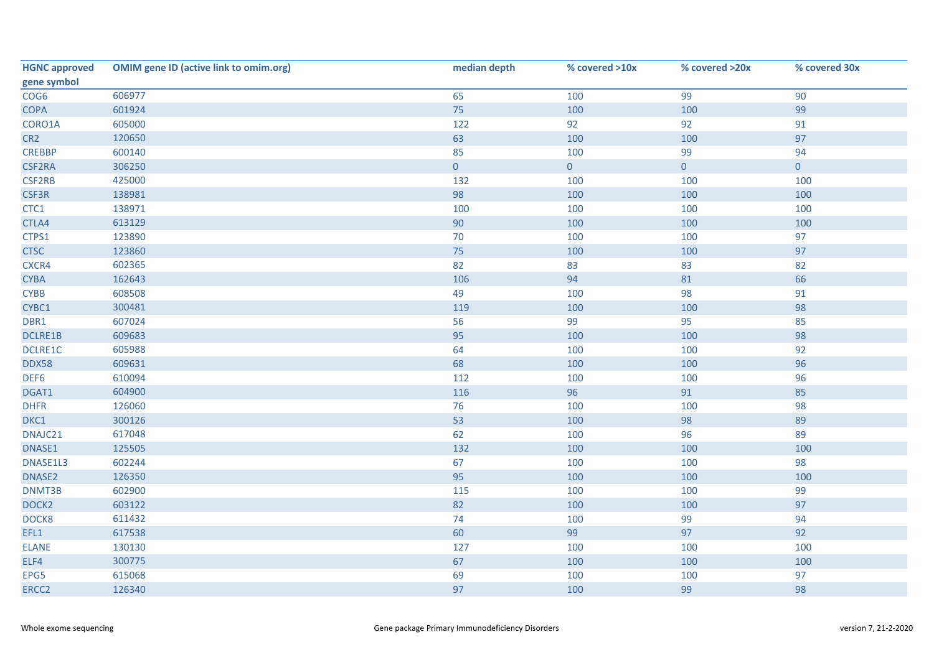| <b>HGNC approved</b> | <b>OMIM gene ID (active link to omim.org)</b> | median depth   | % covered >10x | % covered >20x | % covered 30x       |
|----------------------|-----------------------------------------------|----------------|----------------|----------------|---------------------|
| gene symbol          |                                               |                |                |                |                     |
| COG6                 | 606977                                        | 65             | 100            | 99             | 90                  |
| <b>COPA</b>          | 601924                                        | 75             | 100            | 100            | 99                  |
| CORO1A               | 605000                                        | 122            | 92             | 92             | 91                  |
| CR <sub>2</sub>      | 120650                                        | 63             | 100            | 100            | 97                  |
| <b>CREBBP</b>        | 600140                                        | 85             | 100            | 99             | 94                  |
| CSF2RA               | 306250                                        | $\overline{0}$ | $\overline{0}$ | $\overline{0}$ | $\mathsf{O}\xspace$ |
| CSF2RB               | 425000                                        | 132            | 100            | 100            | 100                 |
| CSF3R                | 138981                                        | 98             | 100            | 100            | 100                 |
| CTC1                 | 138971                                        | 100            | 100            | 100            | 100                 |
| CTLA4                | 613129                                        | 90             | 100            | 100            | 100                 |
| CTPS1                | 123890                                        | 70             | 100            | 100            | 97                  |
| <b>CTSC</b>          | 123860                                        | 75             | 100            | 100            | 97                  |
| CXCR4                | 602365                                        | 82             | 83             | 83             | 82                  |
| <b>CYBA</b>          | 162643                                        | 106            | 94             | 81             | 66                  |
| <b>CYBB</b>          | 608508                                        | 49             | 100            | 98             | 91                  |
| CYBC1                | 300481                                        | 119            | 100            | 100            | 98                  |
| DBR1                 | 607024                                        | 56             | 99             | 95             | 85                  |
| DCLRE1B              | 609683                                        | 95             | 100            | 100            | 98                  |
| DCLRE1C              | 605988                                        | 64             | 100            | 100            | 92                  |
| <b>DDX58</b>         | 609631                                        | 68             | 100            | 100            | 96                  |
| DEF6                 | 610094                                        | 112            | 100            | 100            | 96                  |
| DGAT1                | 604900                                        | 116            | 96             | 91             | 85                  |
| <b>DHFR</b>          | 126060                                        | 76             | 100            | 100            | 98                  |
| DKC1                 | 300126                                        | 53             | 100            | 98             | 89                  |
| DNAJC21              | 617048                                        | 62             | 100            | 96             | 89                  |
| DNASE1               | 125505                                        | 132            | 100            | 100            | 100                 |
| DNASE1L3             | 602244                                        | 67             | 100            | 100            | 98                  |
| DNASE2               | 126350                                        | 95             | 100            | 100            | 100                 |
| DNMT3B               | 602900                                        | 115            | 100            | 100            | 99                  |
| DOCK <sub>2</sub>    | 603122                                        | 82             | 100            | 100            | 97                  |
| DOCK8                | 611432                                        | 74             | 100            | 99             | 94                  |
| EFL1                 | 617538                                        | 60             | 99             | 97             | 92                  |
| <b>ELANE</b>         | 130130                                        | 127            | 100            | 100            | 100                 |
| ELF4                 | 300775                                        | 67             | 100            | 100            | 100                 |
| EPG5                 | 615068                                        | 69             | 100            | 100            | 97                  |
| ERCC2                | 126340                                        | 97             | 100            | 99             | 98                  |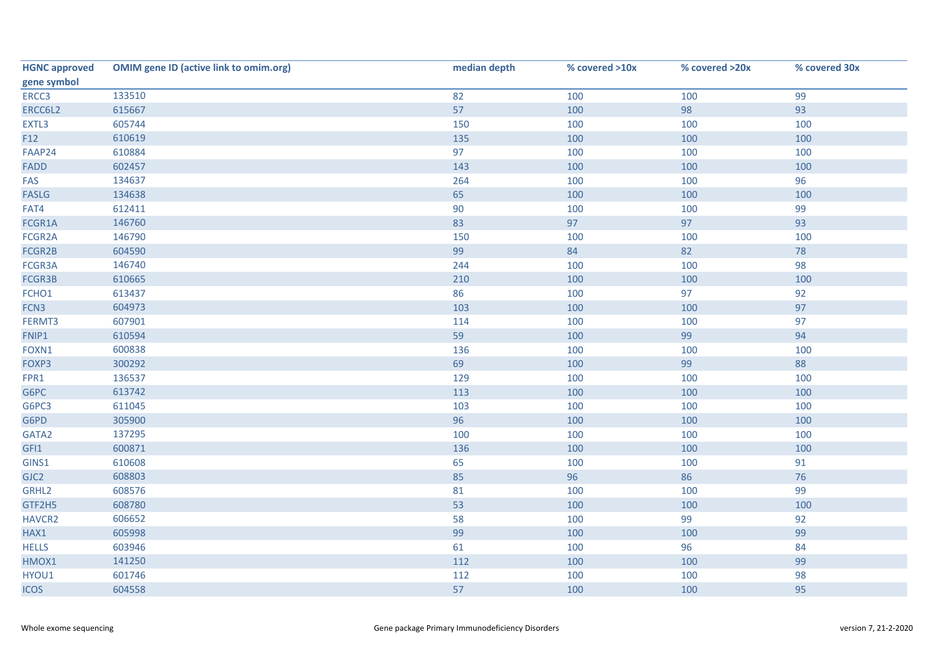| <b>HGNC approved</b> | <b>OMIM gene ID (active link to omim.org)</b> | median depth | % covered >10x | % covered >20x | % covered 30x |
|----------------------|-----------------------------------------------|--------------|----------------|----------------|---------------|
| gene symbol          |                                               |              |                |                |               |
| ERCC3                | 133510                                        | 82           | 100            | 100            | 99            |
| ERCC6L2              | 615667                                        | 57           | 100            | 98             | 93            |
| EXTL3                | 605744                                        | 150          | 100            | 100            | 100           |
| F12                  | 610619                                        | 135          | 100            | 100            | 100           |
| FAAP24               | 610884                                        | 97           | 100            | 100            | 100           |
| FADD                 | 602457                                        | 143          | 100            | 100            | 100           |
| FAS                  | 134637                                        | 264          | 100            | 100            | 96            |
| <b>FASLG</b>         | 134638                                        | 65           | 100            | 100            | 100           |
| FAT4                 | 612411                                        | 90           | 100            | 100            | 99            |
| FCGR1A               | 146760                                        | 83           | 97             | 97             | 93            |
| FCGR2A               | 146790                                        | 150          | 100            | 100            | 100           |
| FCGR2B               | 604590                                        | 99           | 84             | 82             | 78            |
| FCGR3A               | 146740                                        | 244          | 100            | 100            | 98            |
| FCGR3B               | 610665                                        | 210          | 100            | 100            | 100           |
| FCHO1                | 613437                                        | 86           | 100            | 97             | 92            |
| FCN3                 | 604973                                        | 103          | 100            | 100            | 97            |
| FERMT3               | 607901                                        | 114          | 100            | 100            | 97            |
| FNIP1                | 610594                                        | 59           | 100            | 99             | 94            |
| FOXN1                | 600838                                        | 136          | 100            | 100            | 100           |
| FOXP3                | 300292                                        | 69           | 100            | 99             | 88            |
| FPR1                 | 136537                                        | 129          | 100            | 100            | 100           |
| G6PC                 | 613742                                        | 113          | 100            | 100            | 100           |
| G6PC3                | 611045                                        | 103          | 100            | 100            | 100           |
| G6PD                 | 305900                                        | 96           | 100            | 100            | 100           |
| GATA2                | 137295                                        | 100          | 100            | 100            | 100           |
| GFI1                 | 600871                                        | 136          | 100            | 100            | 100           |
| GINS1                | 610608                                        | 65           | 100            | 100            | 91            |
| GJC2                 | 608803                                        | 85           | 96             | 86             | 76            |
| GRHL2                | 608576                                        | 81           | 100            | 100            | 99            |
| GTF2H5               | 608780                                        | 53           | 100            | 100            | 100           |
| HAVCR2               | 606652                                        | 58           | 100            | 99             | 92            |
| HAX1                 | 605998                                        | 99           | 100            | 100            | 99            |
| <b>HELLS</b>         | 603946                                        | 61           | 100            | 96             | 84            |
| HMOX1                | 141250                                        | 112          | 100            | 100            | 99            |
| HYOU1                | 601746                                        | 112          | 100            | 100            | 98            |
| <b>ICOS</b>          | 604558                                        | 57           | 100            | 100            | 95            |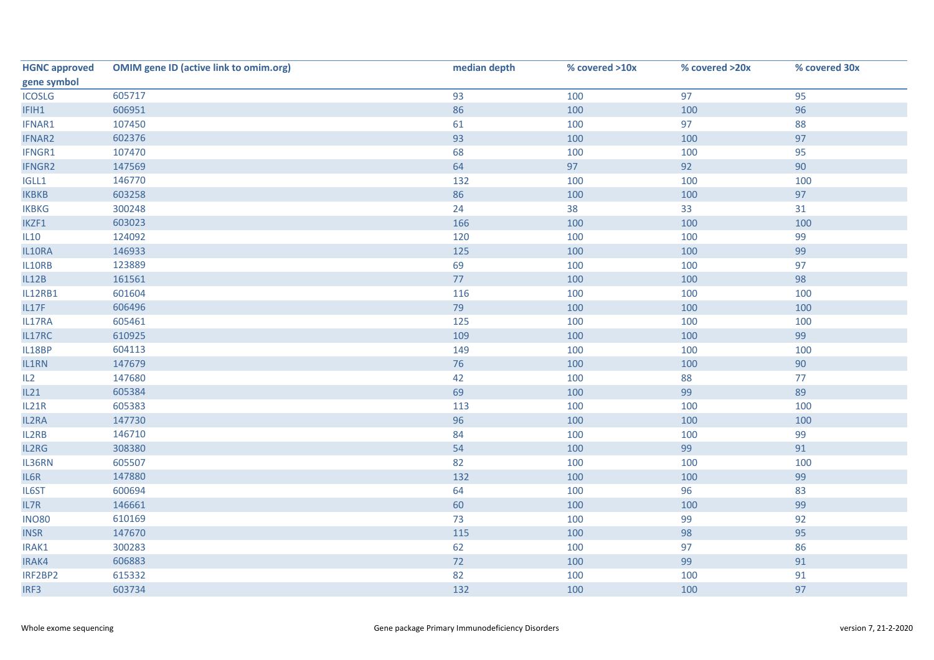| <b>HGNC approved</b> | <b>OMIM gene ID (active link to omim.org)</b> | median depth | % covered >10x | % covered >20x | % covered 30x |
|----------------------|-----------------------------------------------|--------------|----------------|----------------|---------------|
| gene symbol          |                                               |              |                |                |               |
| <b>ICOSLG</b>        | 605717                                        | 93           | 100            | 97             | 95            |
| IFIH1                | 606951                                        | 86           | 100            | 100            | 96            |
| IFNAR1               | 107450                                        | 61           | 100            | 97             | 88            |
| <b>IFNAR2</b>        | 602376                                        | 93           | 100            | 100            | 97            |
| IFNGR1               | 107470                                        | 68           | 100            | 100            | 95            |
| IFNGR2               | 147569                                        | 64           | 97             | 92             | 90            |
| IGLL1                | 146770                                        | 132          | 100            | 100            | 100           |
| <b>IKBKB</b>         | 603258                                        | 86           | 100            | 100            | 97            |
| <b>IKBKG</b>         | 300248                                        | 24           | 38             | 33             | 31            |
| IKZF1                | 603023                                        | 166          | 100            | 100            | 100           |
| IL10                 | 124092                                        | 120          | 100            | 100            | 99            |
| IL10RA               | 146933                                        | 125          | 100            | 100            | 99            |
| IL10RB               | 123889                                        | 69           | 100            | 100            | 97            |
| IL12B                | 161561                                        | 77           | 100            | 100            | 98            |
| <b>IL12RB1</b>       | 601604                                        | 116          | 100            | 100            | 100           |
| IL17F                | 606496                                        | 79           | 100            | 100            | 100           |
| IL17RA               | 605461                                        | 125          | 100            | 100            | 100           |
| IL17RC               | 610925                                        | 109          | 100            | 100            | 99            |
| IL18BP               | 604113                                        | 149          | 100            | 100            | 100           |
| IL1RN                | 147679                                        | 76           | 100            | 100            | 90            |
| IL2                  | 147680                                        | 42           | 100            | 88             | 77            |
| IL21                 | 605384                                        | 69           | 100            | 99             | 89            |
| <b>IL21R</b>         | 605383                                        | 113          | 100            | 100            | 100           |
| IL2RA                | 147730                                        | 96           | 100            | 100            | 100           |
| IL2RB                | 146710                                        | 84           | 100            | 100            | 99            |
| IL2RG                | 308380                                        | 54           | 100            | 99             | 91            |
| IL36RN               | 605507                                        | 82           | 100            | 100            | 100           |
| IL6R                 | 147880                                        | 132          | 100            | 100            | 99            |
| IL6ST                | 600694                                        | 64           | 100            | 96             | 83            |
| IL7R                 | 146661                                        | 60           | 100            | 100            | 99            |
| <b>INO80</b>         | 610169                                        | 73           | 100            | 99             | 92            |
| <b>INSR</b>          | 147670                                        | 115          | 100            | 98             | 95            |
| IRAK1                | 300283                                        | 62           | 100            | 97             | 86            |
| IRAK4                | 606883                                        | 72           | 100            | 99             | 91            |
| IRF2BP2              | 615332                                        | 82           | 100            | 100            | 91            |
| IRF3                 | 603734                                        | 132          | 100            | 100            | 97            |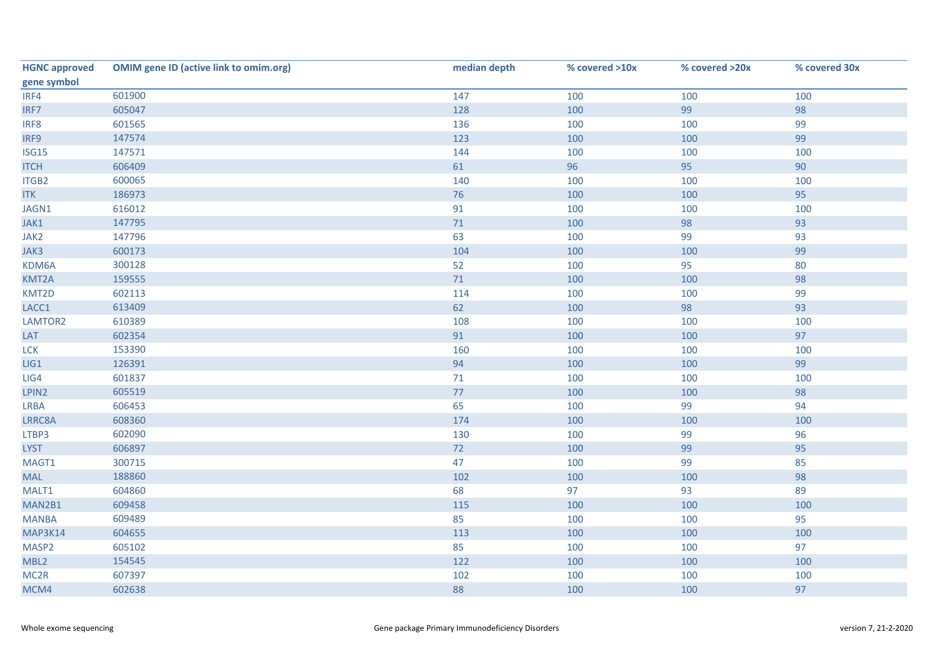| <b>HGNC approved</b> | <b>OMIM gene ID (active link to omim.org)</b> | median depth | % covered >10x | % covered >20x | % covered 30x |
|----------------------|-----------------------------------------------|--------------|----------------|----------------|---------------|
| gene symbol          |                                               |              |                |                |               |
| IRF4                 | 601900                                        | 147          | 100            | 100            | 100           |
| IRF7                 | 605047                                        | 128          | 100            | 99             | 98            |
| IRF8                 | 601565                                        | 136          | 100            | 100            | 99            |
| IRF9                 | 147574                                        | 123          | 100            | 100            | 99            |
| ISG15                | 147571                                        | 144          | 100            | 100            | 100           |
| <b>ITCH</b>          | 606409                                        | 61           | 96             | 95             | 90            |
| ITGB2                | 600065                                        | 140          | 100            | 100            | 100           |
| <b>ITK</b>           | 186973                                        | 76           | 100            | 100            | 95            |
| JAGN1                | 616012                                        | 91           | 100            | 100            | 100           |
| JAK1                 | 147795                                        | $71\,$       | 100            | 98             | 93            |
| JAK2                 | 147796                                        | 63           | 100            | 99             | 93            |
| JAK3                 | 600173                                        | 104          | 100            | 100            | 99            |
| KDM6A                | 300128                                        | 52           | 100            | 95             | 80            |
| KMT2A                | 159555                                        | $71$         | 100            | 100            | 98            |
| KMT2D                | 602113                                        | 114          | 100            | 100            | 99            |
| LACC1                | 613409                                        | 62           | 100            | 98             | 93            |
| LAMTOR2              | 610389                                        | 108          | 100            | 100            | 100           |
| LAT                  | 602354                                        | 91           | 100            | 100            | 97            |
| <b>LCK</b>           | 153390                                        | 160          | 100            | 100            | 100           |
| LIG1                 | 126391                                        | 94           | 100            | 100            | 99            |
| LIG4                 | 601837                                        | 71           | 100            | 100            | 100           |
| LPIN2                | 605519                                        | $77\,$       | 100            | 100            | 98            |
| LRBA                 | 606453                                        | 65           | 100            | 99             | 94            |
| LRRC8A               | 608360                                        | 174          | 100            | 100            | 100           |
| LTBP3                | 602090                                        | 130          | 100            | 99             | 96            |
| <b>LYST</b>          | 606897                                        | 72           | 100            | 99             | 95            |
| MAGT1                | 300715                                        | 47           | 100            | 99             | 85            |
| <b>MAL</b>           | 188860                                        | 102          | 100            | 100            | 98            |
| MALT1                | 604860                                        | 68           | 97             | 93             | 89            |
| MAN2B1               | 609458                                        | 115          | 100            | 100            | 100           |
| <b>MANBA</b>         | 609489                                        | 85           | 100            | 100            | 95            |
| MAP3K14              | 604655                                        | 113          | 100            | 100            | 100           |
| MASP2                | 605102                                        | 85           | 100            | 100            | 97            |
| MBL2                 | 154545                                        | 122          | 100            | 100            | 100           |
| MC <sub>2R</sub>     | 607397                                        | 102          | 100            | 100            | 100           |
| MCM4                 | 602638                                        | 88           | 100            | 100            | 97            |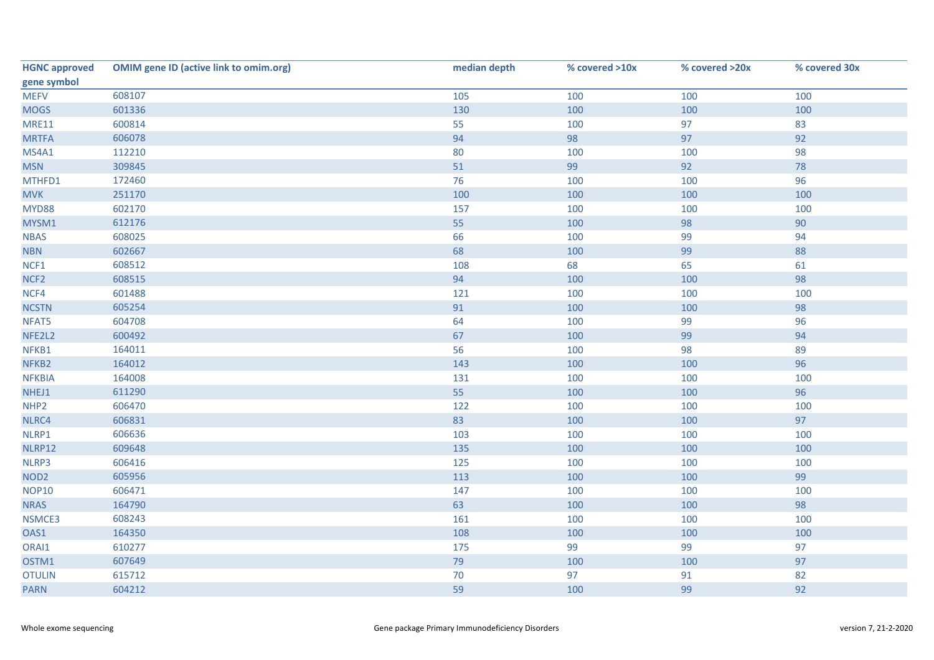| <b>HGNC approved</b> | <b>OMIM gene ID (active link to omim.org)</b> | median depth | % covered >10x | % covered >20x | % covered 30x |
|----------------------|-----------------------------------------------|--------------|----------------|----------------|---------------|
| gene symbol          |                                               |              |                |                |               |
| <b>MEFV</b>          | 608107                                        | 105          | 100            | 100            | 100           |
| <b>MOGS</b>          | 601336                                        | 130          | 100            | 100            | 100           |
| <b>MRE11</b>         | 600814                                        | 55           | 100            | 97             | 83            |
| <b>MRTFA</b>         | 606078                                        | 94           | 98             | 97             | 92            |
| MS4A1                | 112210                                        | 80           | 100            | 100            | 98            |
| <b>MSN</b>           | 309845                                        | 51           | 99             | 92             | 78            |
| MTHFD1               | 172460                                        | 76           | 100            | 100            | 96            |
| <b>MVK</b>           | 251170                                        | 100          | 100            | 100            | 100           |
| <b>MYD88</b>         | 602170                                        | 157          | 100            | 100            | 100           |
| MYSM1                | 612176                                        | 55           | 100            | 98             | 90            |
| <b>NBAS</b>          | 608025                                        | 66           | 100            | 99             | 94            |
| <b>NBN</b>           | 602667                                        | 68           | 100            | 99             | 88            |
| NCF1                 | 608512                                        | 108          | 68             | 65             | 61            |
| NCF <sub>2</sub>     | 608515                                        | 94           | 100            | 100            | 98            |
| NCF4                 | 601488                                        | 121          | 100            | 100            | 100           |
| <b>NCSTN</b>         | 605254                                        | 91           | 100            | 100            | 98            |
| NFAT5                | 604708                                        | 64           | 100            | 99             | 96            |
| NFE2L2               | 600492                                        | 67           | 100            | 99             | 94            |
| NFKB1                | 164011                                        | 56           | 100            | 98             | 89            |
| NFKB2                | 164012                                        | 143          | 100            | 100            | 96            |
| <b>NFKBIA</b>        | 164008                                        | 131          | 100            | 100            | 100           |
| NHEJ1                | 611290                                        | 55           | 100            | 100            | 96            |
| NHP <sub>2</sub>     | 606470                                        | 122          | 100            | 100            | 100           |
| NLRC4                | 606831                                        | 83           | 100            | 100            | 97            |
| NLRP1                | 606636                                        | 103          | 100            | 100            | 100           |
| NLRP12               | 609648                                        | 135          | 100            | 100            | 100           |
| NLRP3                | 606416                                        | 125          | 100            | 100            | 100           |
| NOD <sub>2</sub>     | 605956                                        | 113          | 100            | 100            | 99            |
| <b>NOP10</b>         | 606471                                        | 147          | 100            | 100            | 100           |
| <b>NRAS</b>          | 164790                                        | 63           | 100            | 100            | 98            |
| NSMCE3               | 608243                                        | 161          | 100            | 100            | 100           |
| OAS1                 | 164350                                        | 108          | 100            | 100            | 100           |
| ORAI1                | 610277                                        | 175          | 99             | 99             | 97            |
| OSTM1                | 607649                                        | 79           | 100            | 100            | 97            |
| <b>OTULIN</b>        | 615712                                        | 70           | 97             | 91             | 82            |
| <b>PARN</b>          | 604212                                        | 59           | 100            | 99             | 92            |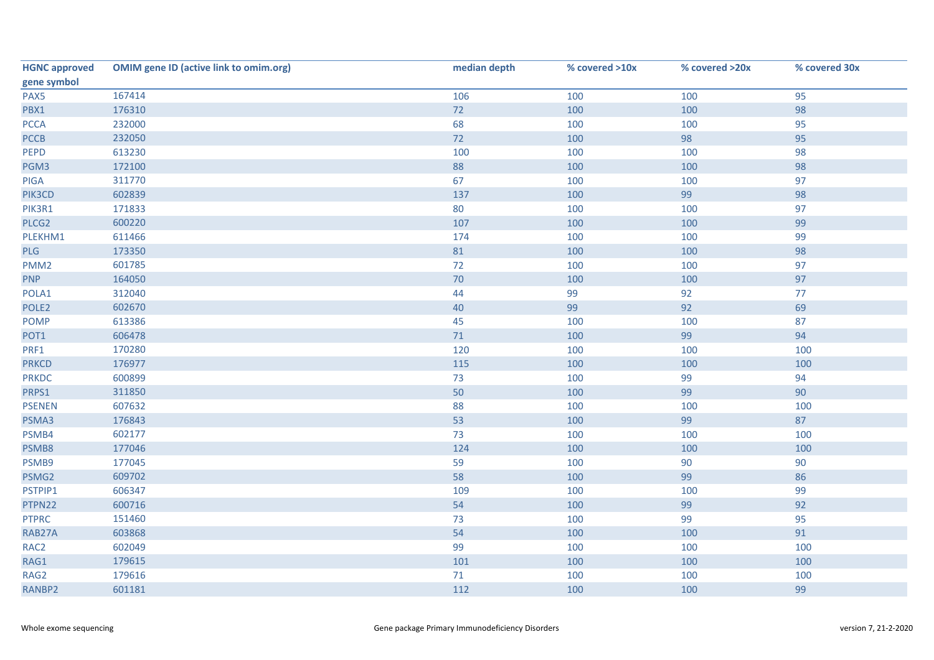| <b>HGNC approved</b> | <b>OMIM gene ID (active link to omim.org)</b> | median depth | % covered >10x | % covered >20x | % covered 30x |
|----------------------|-----------------------------------------------|--------------|----------------|----------------|---------------|
| gene symbol          |                                               |              |                |                |               |
| PAX5                 | 167414                                        | 106          | 100            | 100            | 95            |
| PBX1                 | 176310                                        | 72           | 100            | 100            | 98            |
| <b>PCCA</b>          | 232000                                        | 68           | 100            | 100            | 95            |
| <b>PCCB</b>          | 232050                                        | 72           | 100            | 98             | 95            |
| PEPD                 | 613230                                        | 100          | 100            | 100            | 98            |
| PGM3                 | 172100                                        | 88           | 100            | 100            | 98            |
| PIGA                 | 311770                                        | 67           | 100            | 100            | 97            |
| PIK3CD               | 602839                                        | 137          | 100            | 99             | 98            |
| PIK3R1               | 171833                                        | 80           | 100            | 100            | 97            |
| PLCG2                | 600220                                        | 107          | 100            | 100            | 99            |
| PLEKHM1              | 611466                                        | 174          | 100            | 100            | 99            |
| PLG                  | 173350                                        | 81           | 100            | 100            | 98            |
| PMM <sub>2</sub>     | 601785                                        | 72           | 100            | 100            | 97            |
| <b>PNP</b>           | 164050                                        | 70           | 100            | 100            | 97            |
| POLA1                | 312040                                        | 44           | 99             | 92             | 77            |
| POLE <sub>2</sub>    | 602670                                        | 40           | 99             | 92             | 69            |
| <b>POMP</b>          | 613386                                        | 45           | 100            | 100            | 87            |
| POT1                 | 606478                                        | $71$         | 100            | 99             | 94            |
| PRF1                 | 170280                                        | 120          | 100            | 100            | 100           |
| <b>PRKCD</b>         | 176977                                        | 115          | 100            | 100            | 100           |
| <b>PRKDC</b>         | 600899                                        | 73           | 100            | 99             | 94            |
| PRPS1                | 311850                                        | 50           | 100            | 99             | 90            |
| <b>PSENEN</b>        | 607632                                        | 88           | 100            | 100            | 100           |
| PSMA3                | 176843                                        | 53           | 100            | 99             | 87            |
| PSMB4                | 602177                                        | 73           | 100            | 100            | 100           |
| PSMB8                | 177046                                        | 124          | 100            | 100            | 100           |
| PSMB9                | 177045                                        | 59           | 100            | 90             | 90            |
| PSMG2                | 609702                                        | 58           | 100            | 99             | 86            |
| PSTPIP1              | 606347                                        | 109          | 100            | 100            | 99            |
| PTPN22               | 600716                                        | 54           | 100            | 99             | 92            |
| <b>PTPRC</b>         | 151460                                        | 73           | 100            | 99             | 95            |
| RAB27A               | 603868                                        | 54           | 100            | 100            | 91            |
| RAC <sub>2</sub>     | 602049                                        | 99           | 100            | 100            | 100           |
| RAG1                 | 179615                                        | 101          | 100            | 100            | 100           |
| RAG2                 | 179616                                        | $71$         | 100            | 100            | 100           |
| RANBP2               | 601181                                        | 112          | 100            | 100            | 99            |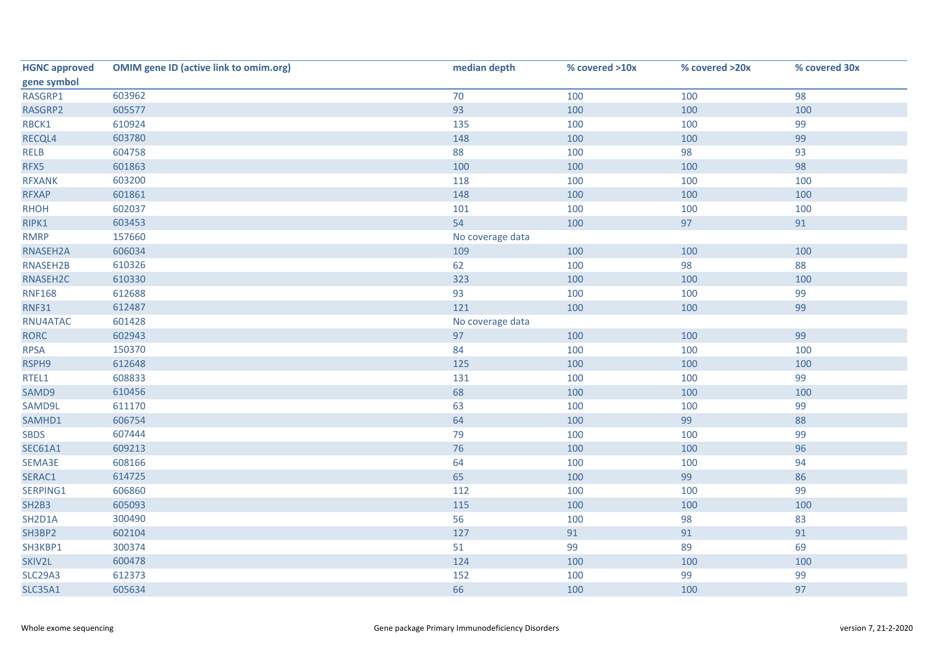| <b>HGNC approved</b> | <b>OMIM gene ID (active link to omim.org)</b> | median depth     | % covered >10x | % covered >20x | % covered 30x |
|----------------------|-----------------------------------------------|------------------|----------------|----------------|---------------|
| gene symbol          |                                               |                  |                |                |               |
| RASGRP1              | 603962                                        | 70               | 100            | 100            | 98            |
| RASGRP2              | 605577                                        | 93               | 100            | 100            | 100           |
| RBCK1                | 610924                                        | 135              | 100            | 100            | 99            |
| RECQL4               | 603780                                        | 148              | 100            | 100            | 99            |
| <b>RELB</b>          | 604758                                        | 88               | 100            | 98             | 93            |
| RFX5                 | 601863                                        | 100              | 100            | 100            | 98            |
| <b>RFXANK</b>        | 603200                                        | 118              | 100            | 100            | 100           |
| <b>RFXAP</b>         | 601861                                        | 148              | 100            | 100            | 100           |
| <b>RHOH</b>          | 602037                                        | 101              | 100            | 100            | 100           |
| RIPK1                | 603453                                        | 54               | 100            | 97             | 91            |
| <b>RMRP</b>          | 157660                                        | No coverage data |                |                |               |
| RNASEH2A             | 606034                                        | 109              | 100            | 100            | 100           |
| RNASEH2B             | 610326                                        | 62               | 100            | 98             | 88            |
| RNASEH2C             | 610330                                        | 323              | 100            | 100            | 100           |
| <b>RNF168</b>        | 612688                                        | 93               | 100            | 100            | 99            |
| <b>RNF31</b>         | 612487                                        | 121              | 100            | 100            | 99            |
| RNU4ATAC             | 601428                                        | No coverage data |                |                |               |
| <b>RORC</b>          | 602943                                        | 97               | 100            | 100            | 99            |
| <b>RPSA</b>          | 150370                                        | 84               | 100            | 100            | 100           |
| RSPH9                | 612648                                        | 125              | 100            | 100            | 100           |
| RTEL1                | 608833                                        | 131              | 100            | 100            | 99            |
| SAMD9                | 610456                                        | 68               | 100            | 100            | 100           |
| SAMD9L               | 611170                                        | 63               | 100            | 100            | 99            |
| SAMHD1               | 606754                                        | 64               | 100            | 99             | 88            |
| <b>SBDS</b>          | 607444                                        | 79               | 100            | 100            | 99            |
| <b>SEC61A1</b>       | 609213                                        | 76               | 100            | 100            | 96            |
| SEMA3E               | 608166                                        | 64               | 100            | 100            | 94            |
| SERAC1               | 614725                                        | 65               | 100            | 99             | 86            |
| SERPING1             | 606860                                        | 112              | 100            | 100            | 99            |
| <b>SH2B3</b>         | 605093                                        | 115              | 100            | 100            | 100           |
| SH2D1A               | 300490                                        | 56               | 100            | 98             | 83            |
| SH3BP2               | 602104                                        | 127              | 91             | 91             | 91            |
| SH3KBP1              | 300374                                        | 51               | 99             | 89             | 69            |
| SKIV2L               | 600478                                        | 124              | 100            | 100            | 100           |
| <b>SLC29A3</b>       | 612373                                        | 152              | 100            | 99             | 99            |
| <b>SLC35A1</b>       | 605634                                        | 66               | 100            | 100            | 97            |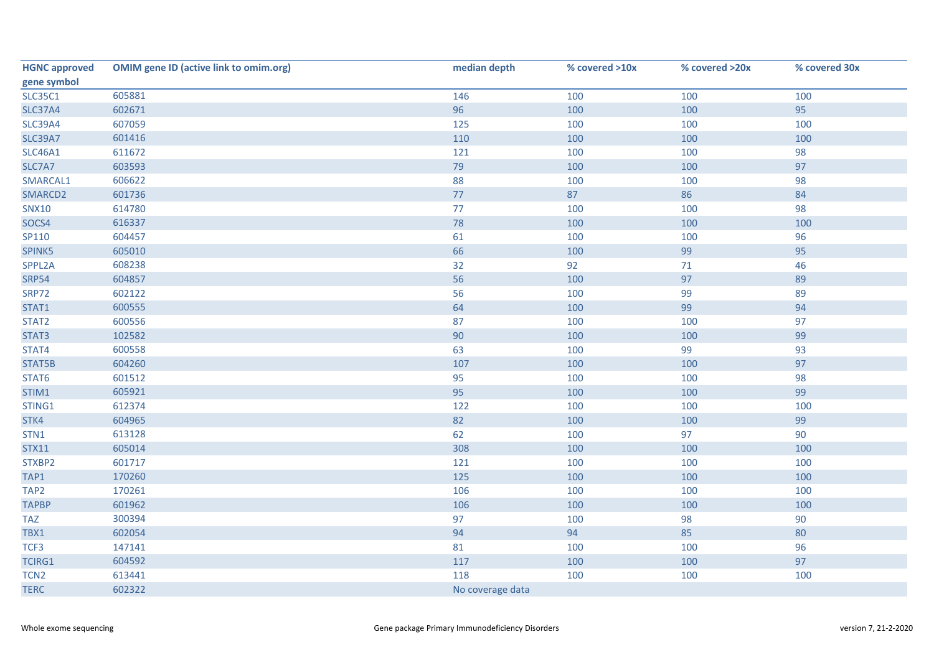| <b>HGNC approved</b> | <b>OMIM gene ID (active link to omim.org)</b> | median depth     | % covered >10x | % covered >20x | % covered 30x |
|----------------------|-----------------------------------------------|------------------|----------------|----------------|---------------|
| gene symbol          |                                               |                  |                |                |               |
| <b>SLC35C1</b>       | 605881                                        | 146              | 100            | 100            | 100           |
| <b>SLC37A4</b>       | 602671                                        | 96               | 100            | 100            | 95            |
| <b>SLC39A4</b>       | 607059                                        | 125              | 100            | 100            | 100           |
| <b>SLC39A7</b>       | 601416                                        | 110              | 100            | 100            | 100           |
| <b>SLC46A1</b>       | 611672                                        | 121              | 100            | 100            | 98            |
| SLC7A7               | 603593                                        | 79               | 100            | 100            | 97            |
| SMARCAL1             | 606622                                        | 88               | 100            | 100            | 98            |
| SMARCD2              | 601736                                        | 77               | 87             | 86             | 84            |
| <b>SNX10</b>         | 614780                                        | 77               | 100            | 100            | 98            |
| SOCS4                | 616337                                        | 78               | 100            | 100            | 100           |
| SP110                | 604457                                        | 61               | 100            | 100            | 96            |
| SPINK5               | 605010                                        | 66               | 100            | 99             | 95            |
| SPPL2A               | 608238                                        | 32               | 92             | 71             | 46            |
| <b>SRP54</b>         | 604857                                        | 56               | 100            | 97             | 89            |
| <b>SRP72</b>         | 602122                                        | 56               | 100            | 99             | 89            |
| STAT1                | 600555                                        | 64               | 100            | 99             | 94            |
| STAT2                | 600556                                        | 87               | 100            | 100            | 97            |
| STAT3                | 102582                                        | 90               | 100            | 100            | 99            |
| STAT4                | 600558                                        | 63               | 100            | 99             | 93            |
| STAT5B               | 604260                                        | 107              | 100            | 100            | 97            |
| STAT6                | 601512                                        | 95               | 100            | 100            | 98            |
| STIM1                | 605921                                        | 95               | 100            | 100            | 99            |
| STING1               | 612374                                        | 122              | 100            | 100            | 100           |
| STK4                 | 604965                                        | 82               | 100            | 100            | 99            |
| STN1                 | 613128                                        | 62               | 100            | 97             | 90            |
| <b>STX11</b>         | 605014                                        | 308              | 100            | 100            | 100           |
| STXBP2               | 601717                                        | 121              | 100            | 100            | 100           |
| TAP1                 | 170260                                        | 125              | 100            | 100            | 100           |
| TAP <sub>2</sub>     | 170261                                        | 106              | 100            | 100            | 100           |
| <b>TAPBP</b>         | 601962                                        | 106              | 100            | 100            | 100           |
| <b>TAZ</b>           | 300394                                        | 97               | 100            | 98             | 90            |
| TBX1                 | 602054                                        | 94               | 94             | 85             | 80            |
| TCF3                 | 147141                                        | 81               | 100            | 100            | 96            |
| TCIRG1               | 604592                                        | 117              | 100            | 100            | 97            |
| TCN <sub>2</sub>     | 613441                                        | 118              | 100            | 100            | 100           |
| <b>TERC</b>          | 602322                                        | No coverage data |                |                |               |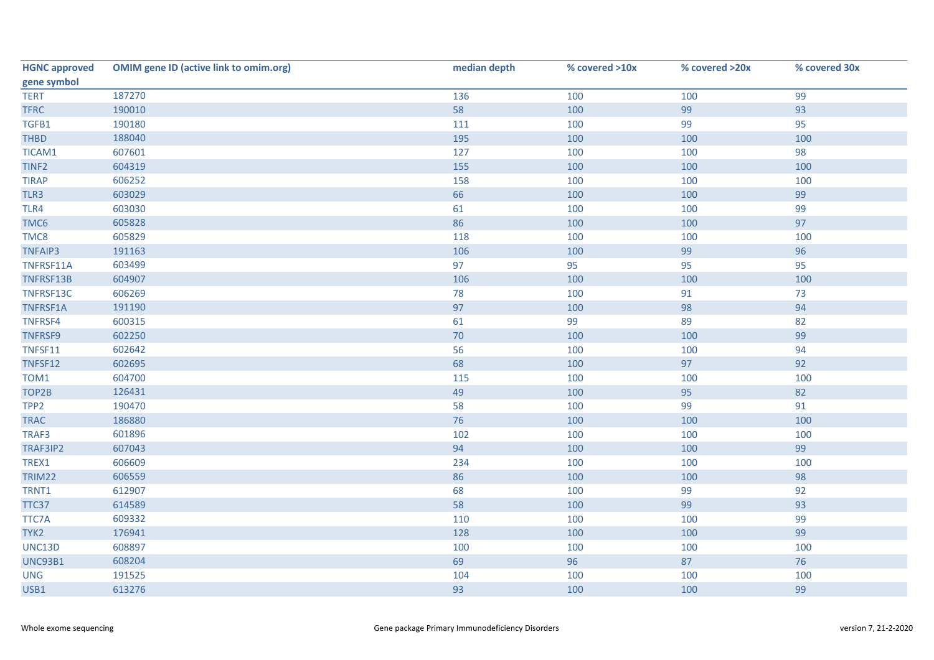| <b>HGNC approved</b> | <b>OMIM gene ID (active link to omim.org)</b> | median depth | % covered >10x | % covered >20x | % covered 30x |
|----------------------|-----------------------------------------------|--------------|----------------|----------------|---------------|
| gene symbol          |                                               |              |                |                |               |
| <b>TERT</b>          | 187270                                        | 136          | 100            | 100            | 99            |
| <b>TFRC</b>          | 190010                                        | 58           | 100            | 99             | 93            |
| TGFB1                | 190180                                        | 111          | 100            | 99             | 95            |
| <b>THBD</b>          | 188040                                        | 195          | 100            | 100            | 100           |
| TICAM1               | 607601                                        | 127          | 100            | 100            | 98            |
| TINF <sub>2</sub>    | 604319                                        | 155          | 100            | 100            | 100           |
| <b>TIRAP</b>         | 606252                                        | 158          | 100            | 100            | 100           |
| TLR3                 | 603029                                        | 66           | 100            | 100            | 99            |
| TLR4                 | 603030                                        | 61           | 100            | 100            | 99            |
| TMC6                 | 605828                                        | 86           | 100            | 100            | 97            |
| TMC8                 | 605829                                        | 118          | 100            | 100            | 100           |
| <b>TNFAIP3</b>       | 191163                                        | 106          | 100            | 99             | 96            |
| TNFRSF11A            | 603499                                        | 97           | 95             | 95             | 95            |
| TNFRSF13B            | 604907                                        | 106          | 100            | 100            | 100           |
| TNFRSF13C            | 606269                                        | 78           | 100            | 91             | 73            |
| TNFRSF1A             | 191190                                        | 97           | 100            | 98             | 94            |
| TNFRSF4              | 600315                                        | 61           | 99             | 89             | 82            |
| TNFRSF9              | 602250                                        | 70           | 100            | 100            | 99            |
| TNFSF11              | 602642                                        | 56           | 100            | 100            | 94            |
| TNFSF12              | 602695                                        | 68           | 100            | 97             | 92            |
| TOM1                 | 604700                                        | 115          | 100            | 100            | 100           |
| TOP2B                | 126431                                        | 49           | 100            | 95             | 82            |
| TPP <sub>2</sub>     | 190470                                        | 58           | 100            | 99             | 91            |
| <b>TRAC</b>          | 186880                                        | 76           | 100            | 100            | 100           |
| TRAF3                | 601896                                        | 102          | 100            | 100            | 100           |
| TRAF3IP2             | 607043                                        | 94           | 100            | 100            | 99            |
| TREX1                | 606609                                        | 234          | 100            | 100            | 100           |
| <b>TRIM22</b>        | 606559                                        | 86           | 100            | 100            | 98            |
| TRNT1                | 612907                                        | 68           | 100            | 99             | 92            |
| TTC37                | 614589                                        | 58           | 100            | 99             | 93            |
| <b>TTC7A</b>         | 609332                                        | 110          | 100            | 100            | 99            |
| TYK2                 | 176941                                        | 128          | 100            | 100            | 99            |
| UNC13D               | 608897                                        | 100          | 100            | 100            | 100           |
| <b>UNC93B1</b>       | 608204                                        | 69           | 96             | 87             | 76            |
| <b>UNG</b>           | 191525                                        | 104          | 100            | 100            | 100           |
| USB1                 | 613276                                        | 93           | 100            | 100            | 99            |